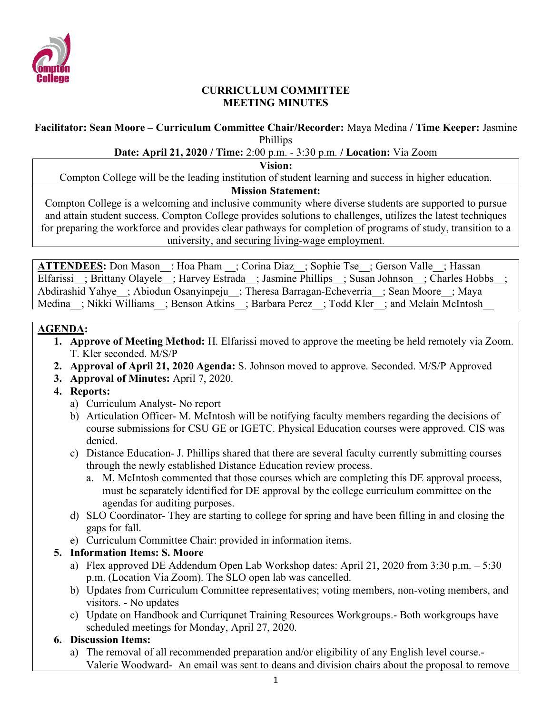

#### **CURRICULUM COMMITTEE MEETING MINUTES**

#### **Facilitator: Sean Moore – Curriculum Committee Chair/Recorder:** Maya Medina **/ Time Keeper:** Jasmine Phillips

#### **Date: April 21, 2020 / Time:** 2:00 p.m. - 3:30 p.m. **/ Location:** Via Zoom

**Vision:**

Compton College will be the leading institution of student learning and success in higher education.

#### **Mission Statement:**

Compton College is a welcoming and inclusive community where diverse students are supported to pursue and attain student success. Compton College provides solutions to challenges, utilizes the latest techniques for preparing the workforce and provides clear pathways for completion of programs of study, transition to a university, and securing living-wage employment.

**ATTENDEES:** Don Mason : Hoa Pham ; Corina Diaz ; Sophie Tse ; Gerson Valle ; Hassan Elfarissi ; Brittany Olayele ; Harvey Estrada ; Jasmine Phillips ; Susan Johnson ; Charles Hobbs ; Abdirashid Yahye ; Abiodun Osanyinpeju ; Theresa Barragan-Echeverria ; Sean Moore ; Maya Medina ; Nikki Williams ; Benson Atkins ; Barbara Perez ; Todd Kler ; and Melain McIntosh

#### **AGENDA:**

- **1. Approve of Meeting Method:** H. Elfarissi moved to approve the meeting be held remotely via Zoom. T. Kler seconded. M/S/P
- **2. Approval of April 21, 2020 Agenda:** S. Johnson moved to approve. Seconded. M/S/P Approved
- **3. Approval of Minutes:** April 7, 2020.
- **4. Reports:**
	- a) Curriculum Analyst- No report
	- b) Articulation Officer- M. McIntosh will be notifying faculty members regarding the decisions of course submissions for CSU GE or IGETC. Physical Education courses were approved. CIS was denied.
	- c) Distance Education- J. Phillips shared that there are several faculty currently submitting courses through the newly established Distance Education review process.
		- a. M. McIntosh commented that those courses which are completing this DE approval process, must be separately identified for DE approval by the college curriculum committee on the agendas for auditing purposes.
	- d) SLO Coordinator- They are starting to college for spring and have been filling in and closing the gaps for fall.
	- e) Curriculum Committee Chair: provided in information items.

### **5. Information Items: S. Moore**

- a) Flex approved DE Addendum Open Lab Workshop dates: April 21, 2020 from 3:30 p.m. 5:30 p.m. (Location Via Zoom). The SLO open lab was cancelled.
- b) Updates from Curriculum Committee representatives; voting members, non-voting members, and visitors. - No updates
- c) Update on Handbook and Curriqunet Training Resources Workgroups.- Both workgroups have scheduled meetings for Monday, April 27, 2020.

### **6. Discussion Items:**

a) The removal of all recommended preparation and/or eligibility of any English level course.- Valerie Woodward- An email was sent to deans and division chairs about the proposal to remove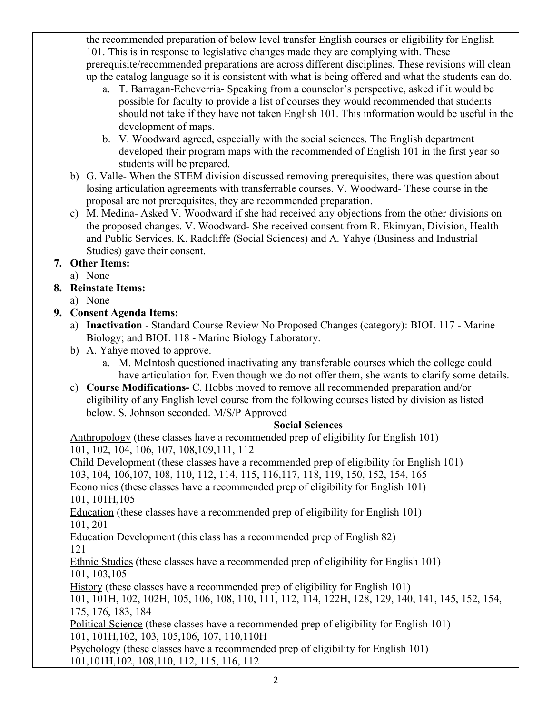the recommended preparation of below level transfer English courses or eligibility for English 101. This is in response to legislative changes made they are complying with. These prerequisite/recommended preparations are across different disciplines. These revisions will clean up the catalog language so it is consistent with what is being offered and what the students can do.

- a. T. Barragan-Echeverria- Speaking from a counselor's perspective, asked if it would be possible for faculty to provide a list of courses they would recommended that students should not take if they have not taken English 101. This information would be useful in the development of maps.
- b. V. Woodward agreed, especially with the social sciences. The English department developed their program maps with the recommended of English 101 in the first year so students will be prepared.
- b) G. Valle- When the STEM division discussed removing prerequisites, there was question about losing articulation agreements with transferrable courses. V. Woodward- These course in the proposal are not prerequisites, they are recommended preparation.
- c) M. Medina- Asked V. Woodward if she had received any objections from the other divisions on the proposed changes. V. Woodward- She received consent from R. Ekimyan, Division, Health and Public Services. K. Radcliffe (Social Sciences) and A. Yahye (Business and Industrial Studies) gave their consent.

# **7. Other Items:**

- a) None
- **8. Reinstate Items:**
	- a) None

# **9. Consent Agenda Items:**

- a) **Inactivation** Standard Course Review No Proposed Changes (category): BIOL 117 Marine Biology; and BIOL 118 - Marine Biology Laboratory.
- b) A. Yahye moved to approve.
	- a. M. McIntosh questioned inactivating any transferable courses which the college could have articulation for. Even though we do not offer them, she wants to clarify some details.
- c) **Course Modifications-** C. Hobbs moved to remove all recommended preparation and/or eligibility of any English level course from the following courses listed by division as listed below. S. Johnson seconded. M/S/P Approved

### **Social Sciences**

Anthropology (these classes have a recommended prep of eligibility for English 101) 101, 102, 104, 106, 107, 108,109,111, 112

Child Development (these classes have a recommended prep of eligibility for English 101)

103, 104, 106,107, 108, 110, 112, 114, 115, 116,117, 118, 119, 150, 152, 154, 165 Economics (these classes have a recommended prep of eligibility for English 101)

101, 101H,105

Education (these classes have a recommended prep of eligibility for English 101) 101, 201

Education Development (this class has a recommended prep of English 82) 121

Ethnic Studies (these classes have a recommended prep of eligibility for English 101) 101, 103,105

History (these classes have a recommended prep of eligibility for English 101)

101, 101H, 102, 102H, 105, 106, 108, 110, 111, 112, 114, 122H, 128, 129, 140, 141, 145, 152, 154, 175, 176, 183, 184

Political Science (these classes have a recommended prep of eligibility for English 101) 101, 101H,102, 103, 105,106, 107, 110,110H

Psychology (these classes have a recommended prep of eligibility for English 101) 101,101H,102, 108,110, 112, 115, 116, 112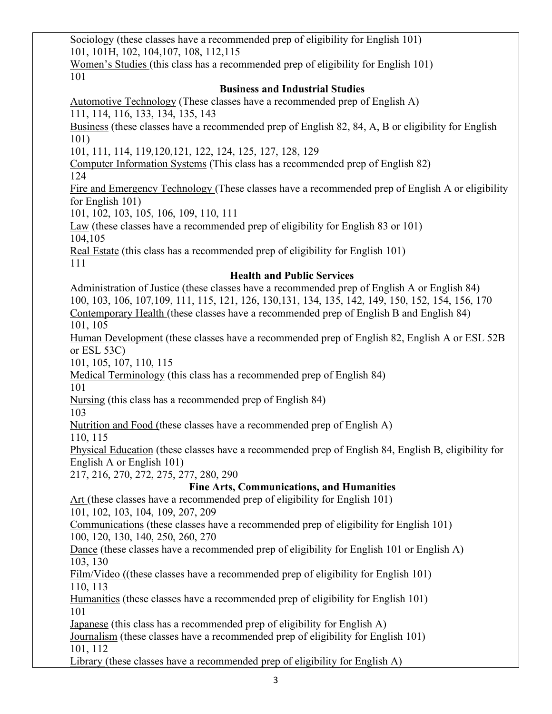Sociology (these classes have a recommended prep of eligibility for English 101) 101, 101H, 102, 104,107, 108, 112,115

Women's Studies (this class has a recommended prep of eligibility for English 101) 101

### **Business and Industrial Studies**

Automotive Technology (These classes have a recommended prep of English A) 111, 114, 116, 133, 134, 135, 143

Business (these classes have a recommended prep of English 82, 84, A, B or eligibility for English 101)

101, 111, 114, 119,120,121, 122, 124, 125, 127, 128, 129

Computer Information Systems (This class has a recommended prep of English 82)

124

Fire and Emergency Technology (These classes have a recommended prep of English A or eligibility for English 101)

101, 102, 103, 105, 106, 109, 110, 111

Law (these classes have a recommended prep of eligibility for English 83 or 101) 104,105

Real Estate (this class has a recommended prep of eligibility for English 101) 111

## **Health and Public Services**

Administration of Justice (these classes have a recommended prep of English A or English 84) 100, 103, 106, 107,109, 111, 115, 121, 126, 130,131, 134, 135, 142, 149, 150, 152, 154, 156, 170 Contemporary Health (these classes have a recommended prep of English B and English 84) 101, 105

Human Development (these classes have a recommended prep of English 82, English A or ESL 52B or ESL 53C)

101, 105, 107, 110, 115

Medical Terminology (this class has a recommended prep of English 84)

101

Nursing (this class has a recommended prep of English 84)

103

Nutrition and Food (these classes have a recommended prep of English A)

110, 115

Physical Education (these classes have a recommended prep of English 84, English B, eligibility for English A or English 101)

217, 216, 270, 272, 275, 277, 280, 290

# **Fine Arts, Communications, and Humanities**

Art (these classes have a recommended prep of eligibility for English 101)

101, 102, 103, 104, 109, 207, 209

Communications (these classes have a recommended prep of eligibility for English 101) 100, 120, 130, 140, 250, 260, 270

Dance (these classes have a recommended prep of eligibility for English 101 or English A) 103, 130

Film/Video ((these classes have a recommended prep of eligibility for English 101) 110, 113

Humanities (these classes have a recommended prep of eligibility for English 101) 101

Japanese (this class has a recommended prep of eligibility for English A)

Journalism (these classes have a recommended prep of eligibility for English 101) 101, 112

Library (these classes have a recommended prep of eligibility for English A)